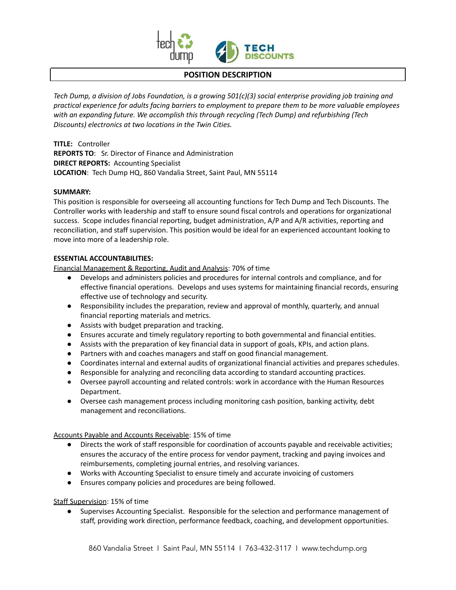

#### **POSITION DESCRIPTION**

*Tech Dump, a division of Jobs Foundation, is a growing 501(c)(3) social enterprise providing job training and practical experience for adults facing barriers to employment to prepare them to be more valuable employees with an expanding future. We accomplish this through recycling (Tech Dump) and refurbishing (Tech Discounts) electronics at two locations in the Twin Cities.*

**TITLE:** Controller **REPORTS TO**: Sr. Director of Finance and Administration **DIRECT REPORTS:** Accounting Specialist **LOCATION**: Tech Dump HQ, 860 Vandalia Street, Saint Paul, MN 55114

#### **SUMMARY:**

This position is responsible for overseeing all accounting functions for Tech Dump and Tech Discounts. The Controller works with leadership and staff to ensure sound fiscal controls and operations for organizational success. Scope includes financial reporting, budget administration, A/P and A/R activities, reporting and reconciliation, and staff supervision. This position would be ideal for an experienced accountant looking to move into more of a leadership role.

## **ESSENTIAL ACCOUNTABILITIES:**

Financial Management & Reporting, Audit and Analysis: 70% of time

- Develops and administers policies and procedures for internal controls and compliance, and for effective financial operations. Develops and uses systems for maintaining financial records, ensuring effective use of technology and security.
- Responsibility includes the preparation, review and approval of monthly, quarterly, and annual financial reporting materials and metrics.
- Assists with budget preparation and tracking.
- Ensures accurate and timely regulatory reporting to both governmental and financial entities.
- Assists with the preparation of key financial data in support of goals, KPIs, and action plans.
- Partners with and coaches managers and staff on good financial management.
- Coordinates internal and external audits of organizational financial activities and prepares schedules.
- Responsible for analyzing and reconciling data according to standard accounting practices.
- Oversee payroll accounting and related controls: work in accordance with the Human Resources Department.
- Oversee cash management process including monitoring cash position, banking activity, debt management and reconciliations.

Accounts Payable and Accounts Receivable: 15% of time

- Directs the work of staff responsible for coordination of accounts payable and receivable activities; ensures the accuracy of the entire process for vendor payment, tracking and paying invoices and reimbursements, completing journal entries, and resolving variances.
- Works with Accounting Specialist to ensure timely and accurate invoicing of customers
- Ensures company policies and procedures are being followed.

Staff Supervision: 15% of time

● Supervises Accounting Specialist. Responsible for the selection and performance management of staff, providing work direction, performance feedback, coaching, and development opportunities.